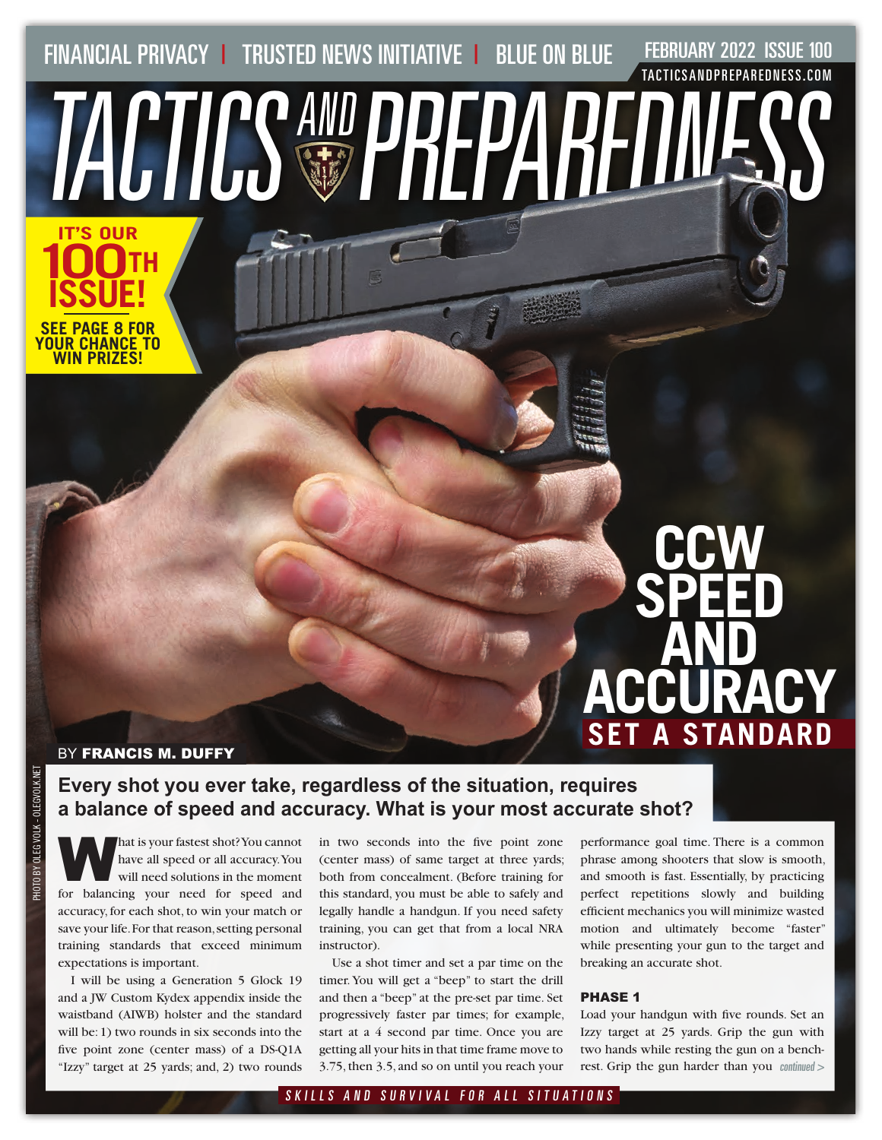FINANCIAL PRIVACY | TRUSTED NEWS INITIATIVE | BLUE ON BLUE FEBRUARY 2022 ISSUE 100

TACTICSAND PREPAREDNESS

[TACTICSANDPREPAREDNESS.COM](http://TACTICSANDPREPAREDNESS.COM)

BY FRANCIS M. DUFFY

**IT'S OUR** 

**ISSUE!**

**SEE PAGE 8 FOR YOUR CHANCE TO WIN PRIZES!**

**100TH**

### **Every shot you ever take, regardless of the situation, requires a balance of speed and accuracy. What is your most accurate shot?**

A hat is your fastest shot? You cannot<br>have all speed or all accuracy. You<br>will need solutions in the moment have all speed or all accuracy. You will need solutions in the moment for balancing your need for speed and accuracy, for each shot, to win your match or save your life. For that reason, setting personal training standards that exceed minimum expectations is important.

I will be using a Generation 5 Glock 19 and a JW Custom Kydex appendix inside the waistband (AIWB) holster and the standard will be: 1) two rounds in six seconds into the five point zone (center mass) of a DS-Q1A "Izzy" target at 25 yards; and, 2) two rounds

in two seconds into the five point zone (center mass) of same target at three yards; both from concealment. (Before training for this standard, you must be able to safely and legally handle a handgun. If you need safety training, you can get that from a local NRA instructor).

Use a shot timer and set a par time on the timer. You will get a "beep" to start the drill and then a "beep" at the pre-set par time. Set progressively faster par times; for example, start at a 4 second par time. Once you are getting all your hits in that time frame move to 3.75, then 3.5, and so on until you reach your

performance goal time. There is a common phrase among shooters that slow is smooth, and smooth is fast. Essentially, by practicing perfect repetitions slowly and building efficient mechanics you will minimize wasted motion and ultimately become "faster" while presenting your gun to the target and breaking an accurate shot.

**CCW** 

**SPEED** 

**AND** 

**ACCURACY**

**A STANDARD** 

### PHASE 1

Load your handgun with five rounds. Set an Izzy target at 25 yards. Grip the gun with two hands while resting the gun on a benchrest. Grip the gun harder than you continued >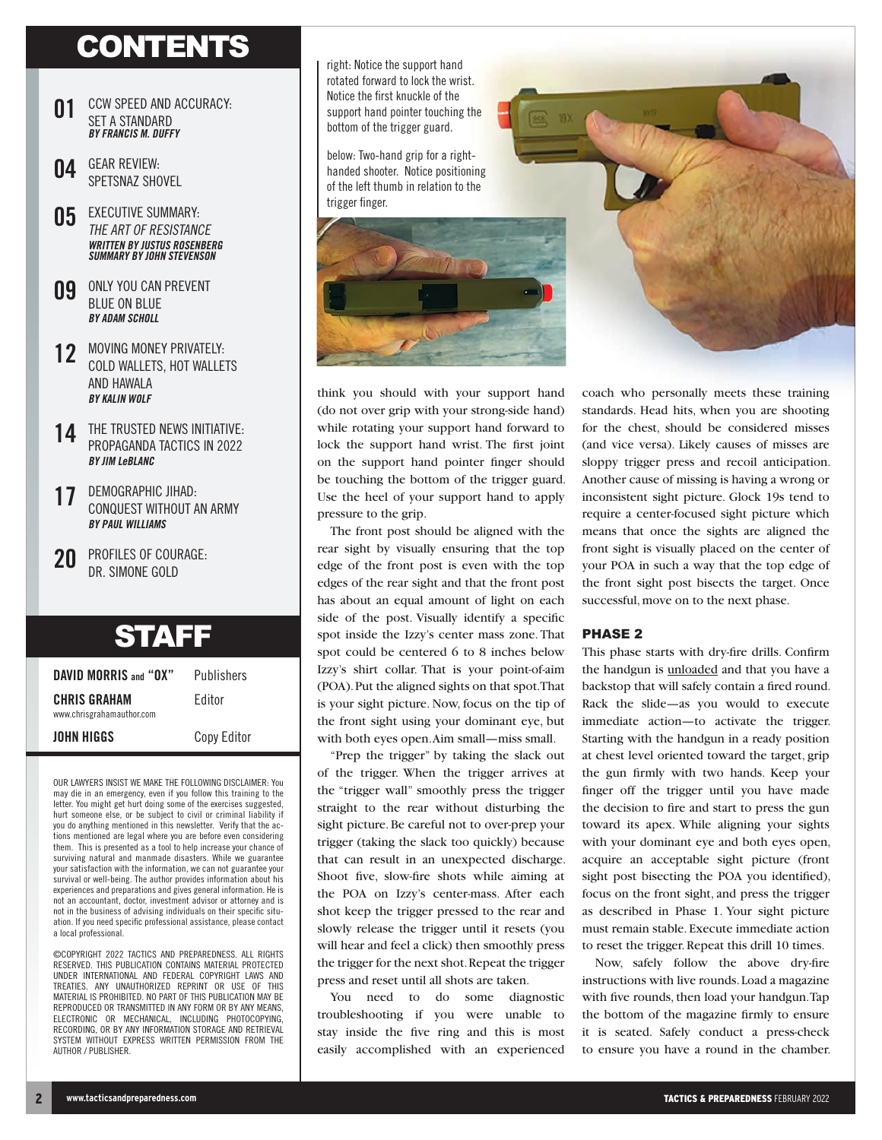# **CONTENTS**

- **01** CCW SPEED AND ACCURACY: SET A STANDARD **BY FRANCIS M. DUFFY**
- **04** GEAR REVIEW: SPETSNAZ SHOVEL
- **05** EXECUTIVE SUMMARY: THE ART OF RESISTANCE **WRITTEN BY JUSTUS ROSENBERG SUMMARY BY JOHN STEVENSON**
- **09** ONLY YOU CAN PREVENT BLUE ON BLUE **BY ADAM SCHOLL**
- **12** MOVING MONEY PRIVATELY: COLD WALLETS, HOT WALLETS AND HAWALA **BY KALIN WOLF**
- **14** THE TRUSTED NEWS INITIATIVE: PROPAGANDA TACTICS IN 2022 **BY JIM LeBLANC**
- **17** DEMOGRAPHIC JIHAD: CONQUEST WITHOUT AN ARMY **BY PAUL WILLIAMS**
- **20** PROFILES OF COURAGE: DR. SIMONE GOLD

## **STAFF**

| DAVID MORRIS and "OX"                            | Publishers |  |
|--------------------------------------------------|------------|--|
| <b>CHRIS GRAHAM</b><br>www.chrisgrahamauthor.com | Fditor     |  |
|                                                  |            |  |

**JOHN HIGGS** Copy Editor

OUR LAWYERS INSIST WE MAKE THE FOLLOWING DISCLAIMER: You may die in an emergency, even if you follow this training to the letter. You might get hurt doing some of the exercises suggested, hurt someone else, or be subject to civil or criminal liability if you do anything mentioned in this newsletter. Verify that the actions mentioned are legal where you are before even considering them. This is presented as a tool to help increase your chance of surviving natural and manmade disasters. While we guarantee your satisfaction with the information, we can not guarantee your survival or well-being. The author provides information about his experiences and preparations and gives general information. He is not an accountant, doctor, investment advisor or attorney and is not in the business of advising individuals on their specific situation. If you need specific professional assistance, please contact a local professional.

©COPYRIGHT 2022 TACTICS AND PREPAREDNESS. ALL RIGHTS RESERVED. THIS PUBLICATION CONTAINS MATERIAL PROTECTED UNDER INTERNATIONAL AND FEDERAL COPYRIGHT LAWS AND TREATIES. ANY UNAUTHORIZED REPRINT OR USE OF THIS MATERIAL IS PROHIBITED. NO PART OF THIS PUBLICATION MAY BE REPRODUCED OR TRANSMITTED IN ANY FORM OR BY ANY MEANS, ELECTRONIC OR MECHANICAL, INCLUDING PHOTOCOPYING, RECORDING, OR BY ANY INFORMATION STORAGE AND RETRIEVAL SYSTEM WITHOUT EXPRESS WRITTEN PERMISSION FROM THE AUTHOR / PUBLISHER.

right: Notice the support hand rotated forward to lock the wrist. Notice the first knuckle of the support hand pointer touching the bottom of the trigger guard.

below: Two-hand grip for a righthanded shooter. Notice positioning of the left thumb in relation to the trigger finger.



think you should with your support hand (do not over grip with your strong-side hand) while rotating your support hand forward to lock the support hand wrist. The first joint on the support hand pointer finger should be touching the bottom of the trigger guard. Use the heel of your support hand to apply pressure to the grip.

The front post should be aligned with the rear sight by visually ensuring that the top edge of the front post is even with the top edges of the rear sight and that the front post has about an equal amount of light on each side of the post. Visually identify a specific spot inside the Izzy's center mass zone. That spot could be centered 6 to 8 inches below Izzy's shirt collar. That is your point-of-aim (POA). Put the aligned sights on that spot. That is your sight picture. Now, focus on the tip of the front sight using your dominant eye, but with both eyes open. Aim small—miss small.

"Prep the trigger" by taking the slack out of the trigger. When the trigger arrives at the "trigger wall" smoothly press the trigger straight to the rear without disturbing the sight picture. Be careful not to over-prep your trigger (taking the slack too quickly) because that can result in an unexpected discharge. Shoot five, slow-fire shots while aiming at the POA on Izzy's center-mass. After each shot keep the trigger pressed to the rear and slowly release the trigger until it resets (you will hear and feel a click) then smoothly press the trigger for the next shot. Repeat the trigger press and reset until all shots are taken.

You need to do some diagnostic troubleshooting if you were unable to stay inside the five ring and this is most easily accomplished with an experienced coach who personally meets these training standards. Head hits, when you are shooting for the chest, should be considered misses (and vice versa). Likely causes of misses are sloppy trigger press and recoil anticipation. Another cause of missing is having a wrong or inconsistent sight picture. Glock 19s tend to require a center-focused sight picture which means that once the sights are aligned the front sight is visually placed on the center of your POA in such a way that the top edge of the front sight post bisects the target. Once successful, move on to the next phase.

#### PHASE 2

This phase starts with dry-fire drills. Confirm the handgun is unloaded and that you have a backstop that will safely contain a fired round. Rack the slide—as you would to execute immediate action—to activate the trigger. Starting with the handgun in a ready position at chest level oriented toward the target, grip the gun firmly with two hands. Keep your finger off the trigger until you have made the decision to fire and start to press the gun toward its apex. While aligning your sights with your dominant eye and both eyes open, acquire an acceptable sight picture (front sight post bisecting the POA you identified), focus on the front sight, and press the trigger as described in Phase 1. Your sight picture must remain stable. Execute immediate action to reset the trigger. Repeat this drill 10 times.

Now, safely follow the above dry-fire instructions with live rounds. Load a magazine with five rounds, then load your handgun. Tap the bottom of the magazine firmly to ensure it is seated. Safely conduct a press-check to ensure you have a round in the chamber.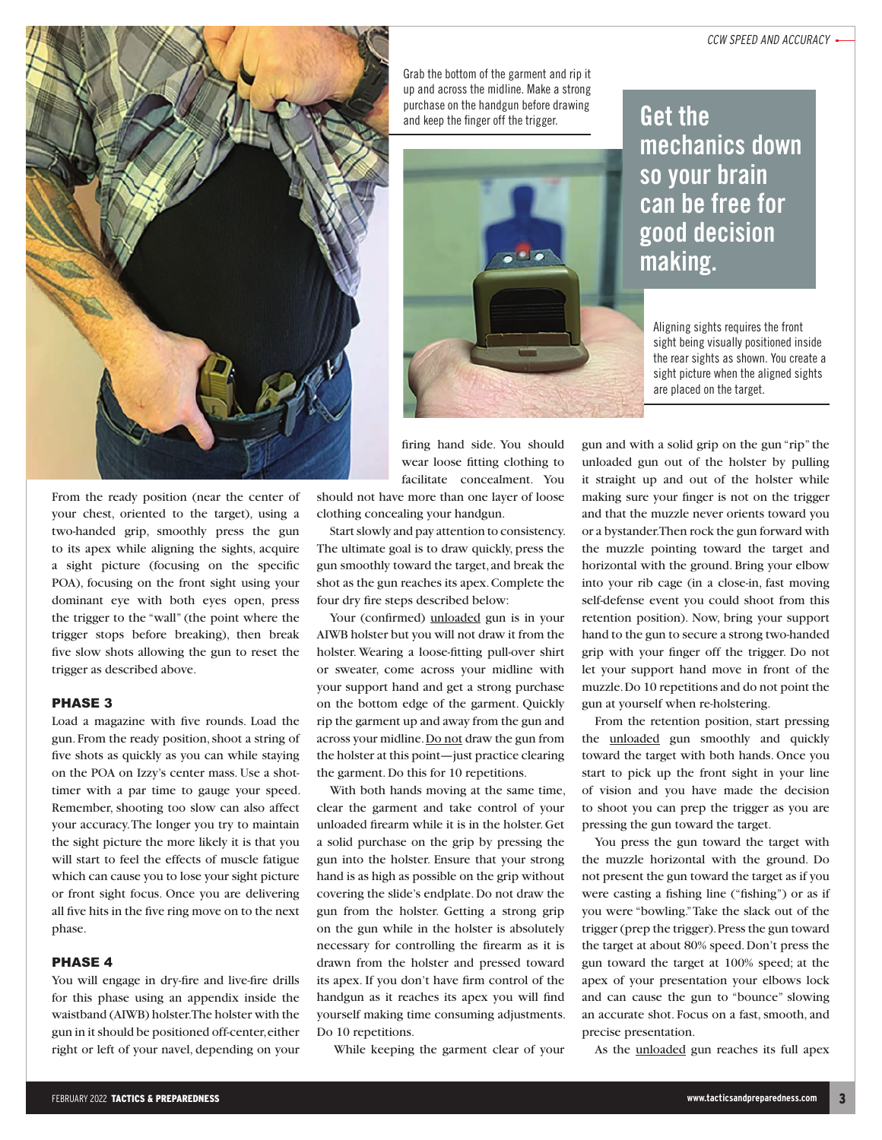

From the ready position (near the center of your chest, oriented to the target), using a two-handed grip, smoothly press the gun to its apex while aligning the sights, acquire a sight picture (focusing on the specific POA), focusing on the front sight using your dominant eye with both eyes open, press the trigger to the "wall" (the point where the trigger stops before breaking), then break five slow shots allowing the gun to reset the trigger as described above.

### PHASE 3

Load a magazine with five rounds. Load the gun. From the ready position, shoot a string of five shots as quickly as you can while staying on the POA on Izzy's center mass. Use a shottimer with a par time to gauge your speed. Remember, shooting too slow can also affect your accuracy. The longer you try to maintain the sight picture the more likely it is that you will start to feel the effects of muscle fatigue which can cause you to lose your sight picture or front sight focus. Once you are delivering all five hits in the five ring move on to the next phase.

#### PHASE 4

You will engage in dry-fire and live-fire drills for this phase using an appendix inside the waistband (AIWB) holster. The holster with the gun in it should be positioned off-center, either right or left of your navel, depending on your Grab the bottom of the garment and rip it up and across the midline. Make a strong purchase on the handgun before drawing and keep the finger off the trigger.<br> **Get the** 



### **mechanics down so your brain can be free for good decision making.**

Aligning sights requires the front sight being visually positioned inside the rear sights as shown. You create a sight picture when the aligned sights are placed on the target.

firing hand side. You should wear loose fitting clothing to facilitate concealment. You

should not have more than one layer of loose clothing concealing your handgun.

Start slowly and pay attention to consistency. The ultimate goal is to draw quickly, press the gun smoothly toward the target, and break the shot as the gun reaches its apex. Complete the four dry fire steps described below:

Your (confirmed) unloaded gun is in your AIWB holster but you will not draw it from the holster. Wearing a loose-fitting pull-over shirt or sweater, come across your midline with your support hand and get a strong purchase on the bottom edge of the garment. Quickly rip the garment up and away from the gun and across your midline. Do not draw the gun from the holster at this point—just practice clearing the garment. Do this for 10 repetitions.

With both hands moving at the same time, clear the garment and take control of your unloaded firearm while it is in the holster. Get a solid purchase on the grip by pressing the gun into the holster. Ensure that your strong hand is as high as possible on the grip without covering the slide's endplate. Do not draw the gun from the holster. Getting a strong grip on the gun while in the holster is absolutely necessary for controlling the firearm as it is drawn from the holster and pressed toward its apex. If you don't have firm control of the handgun as it reaches its apex you will find yourself making time consuming adjustments. Do 10 repetitions.

While keeping the garment clear of your

gun and with a solid grip on the gun "rip" the unloaded gun out of the holster by pulling it straight up and out of the holster while making sure your finger is not on the trigger and that the muzzle never orients toward you or a bystander. Then rock the gun forward with the muzzle pointing toward the target and horizontal with the ground. Bring your elbow into your rib cage (in a close-in, fast moving self-defense event you could shoot from this retention position). Now, bring your support hand to the gun to secure a strong two-handed grip with your finger off the trigger. Do not let your support hand move in front of the muzzle. Do 10 repetitions and do not point the gun at yourself when re-holstering.

From the retention position, start pressing the unloaded gun smoothly and quickly toward the target with both hands. Once you start to pick up the front sight in your line of vision and you have made the decision to shoot you can prep the trigger as you are pressing the gun toward the target.

You press the gun toward the target with the muzzle horizontal with the ground. Do not present the gun toward the target as if you were casting a fishing line ("fishing") or as if you were "bowling." Take the slack out of the trigger (prep the trigger). Press the gun toward the target at about 80% speed. Don't press the gun toward the target at 100% speed; at the apex of your presentation your elbows lock and can cause the gun to "bounce" slowing an accurate shot. Focus on a fast, smooth, and precise presentation.

As the unloaded gun reaches its full apex